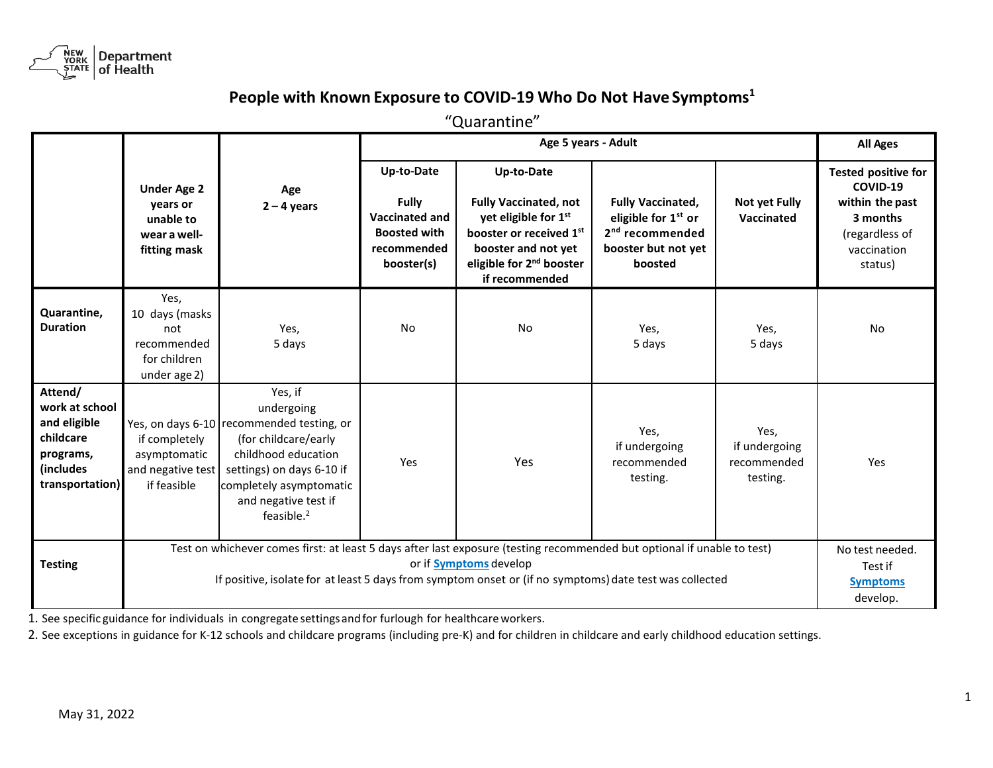

## People with Known Exposure to COVID-19 Who Do Not Have Symptoms<sup>1</sup>

"Quarantine"

|                                                                                                     |                                                                                                                                                                                                                                                              |                                                                                                                                                                                                                    |                                                                                                         | <b>All Ages</b>                                                                                                                                                                            |                                                                                                                              |                                                  |                                                                                                                   |
|-----------------------------------------------------------------------------------------------------|--------------------------------------------------------------------------------------------------------------------------------------------------------------------------------------------------------------------------------------------------------------|--------------------------------------------------------------------------------------------------------------------------------------------------------------------------------------------------------------------|---------------------------------------------------------------------------------------------------------|--------------------------------------------------------------------------------------------------------------------------------------------------------------------------------------------|------------------------------------------------------------------------------------------------------------------------------|--------------------------------------------------|-------------------------------------------------------------------------------------------------------------------|
|                                                                                                     | <b>Under Age 2</b><br>years or<br>unable to<br>wear a well-<br>fitting mask                                                                                                                                                                                  | Age<br>$2 - 4$ years                                                                                                                                                                                               | Up-to-Date<br><b>Fully</b><br><b>Vaccinated and</b><br><b>Boosted with</b><br>recommended<br>booster(s) | Up-to-Date<br><b>Fully Vaccinated, not</b><br>yet eligible for 1st<br>booster or received 1 <sup>st</sup><br>booster and not yet<br>eligible for 2 <sup>nd</sup> booster<br>if recommended | <b>Fully Vaccinated,</b><br>eligible for 1 <sup>st</sup> or<br>2 <sup>nd</sup> recommended<br>booster but not yet<br>boosted | <b>Not yet Fully</b><br>Vaccinated               | <b>Tested positive for</b><br>COVID-19<br>within the past<br>3 months<br>(regardless of<br>vaccination<br>status) |
| Quarantine,<br><b>Duration</b>                                                                      | Yes,<br>10 days (masks<br>not<br>recommended<br>for children<br>under age 2)                                                                                                                                                                                 | Yes,<br>5 days                                                                                                                                                                                                     | <b>No</b>                                                                                               | <b>No</b>                                                                                                                                                                                  | Yes,<br>5 days                                                                                                               | Yes,<br>5 days                                   | <b>No</b>                                                                                                         |
| Attend/<br>work at school<br>and eligible<br>childcare<br>programs,<br>(includes<br>transportation) | if completely<br>asymptomatic<br>and negative test<br>if feasible                                                                                                                                                                                            | Yes, if<br>undergoing<br>Yes, on days 6-10 recommended testing, or<br>(for childcare/early<br>childhood education<br>settings) on days 6-10 if<br>completely asymptomatic<br>and negative test if<br>feasible. $2$ | Yes                                                                                                     | Yes                                                                                                                                                                                        | Yes,<br>if undergoing<br>recommended<br>testing.                                                                             | Yes,<br>if undergoing<br>recommended<br>testing. | Yes                                                                                                               |
| <b>Testing</b>                                                                                      | Test on whichever comes first: at least 5 days after last exposure (testing recommended but optional if unable to test)<br>or if Symptoms develop<br>If positive, isolate for at least 5 days from symptom onset or (if no symptoms) date test was collected |                                                                                                                                                                                                                    |                                                                                                         |                                                                                                                                                                                            |                                                                                                                              |                                                  | No test needed.<br>Test if<br><b>Symptoms</b><br>develop.                                                         |

1. See specific guidance for individuals in congregate settings and for furlough for healthcare workers.

2. See exceptions in guidance for K-12 schools and childcare programs (including pre-K) and for children in childcare and early childhood education settings.